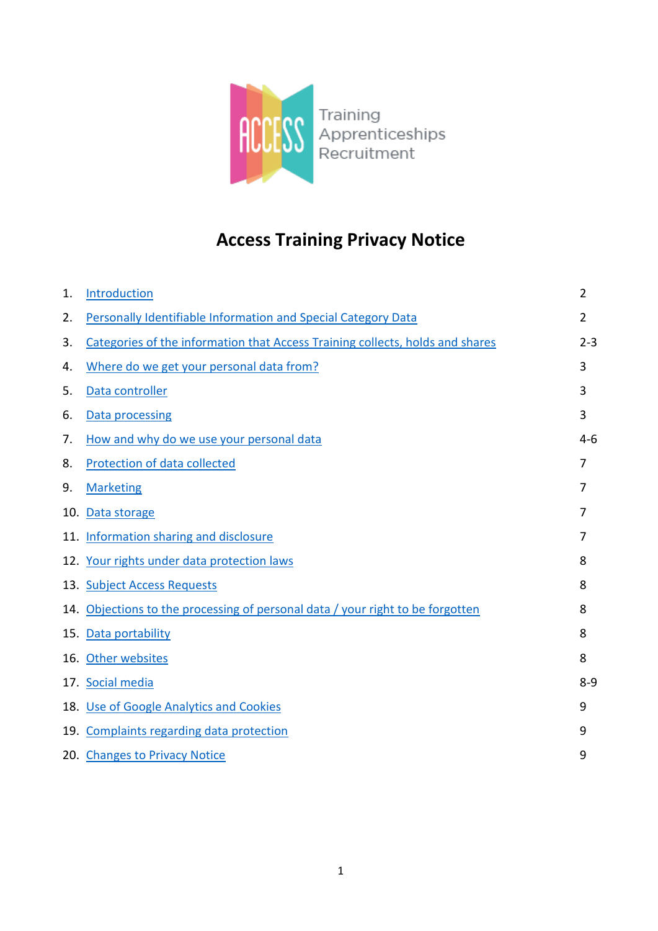

# **Access Training Privacy Notice**

| 1. | Introduction                                                                   | $\overline{2}$ |
|----|--------------------------------------------------------------------------------|----------------|
| 2. | Personally Identifiable Information and Special Category Data                  | $\overline{2}$ |
| 3. | Categories of the information that Access Training collects, holds and shares  | $2 - 3$        |
| 4. | Where do we get your personal data from?                                       | 3              |
| 5. | Data controller                                                                | 3              |
| 6. | Data processing                                                                | 3              |
| 7. | How and why do we use your personal data                                       | $4-6$          |
| 8. | <b>Protection of data collected</b>                                            | 7              |
| 9. | <b>Marketing</b>                                                               | 7              |
|    | 10. Data storage                                                               | 7              |
|    | 11. Information sharing and disclosure                                         | 7              |
|    | 12. Your rights under data protection laws                                     | 8              |
|    | 13. Subject Access Requests                                                    | 8              |
|    | 14. Objections to the processing of personal data / your right to be forgotten | 8              |
|    | 15. Data portability                                                           | 8              |
|    | 16. Other websites                                                             | 8              |
|    | 17. Social media                                                               | $8 - 9$        |
|    | 18. Use of Google Analytics and Cookies                                        | 9              |
|    | 19. Complaints regarding data protection                                       | 9              |
|    | 20. Changes to Privacy Notice                                                  | 9              |
|    |                                                                                |                |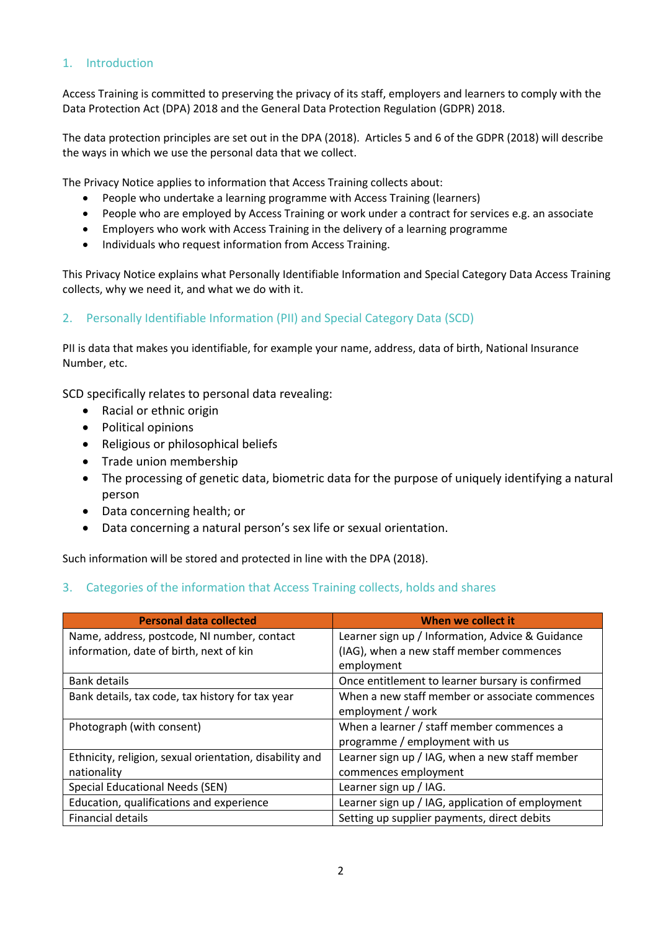## <span id="page-1-0"></span>1. Introduction

Access Training is committed to preserving the privacy of its staff, employers and learners to comply with the Data Protection Act (DPA) 2018 and the General Data Protection Regulation (GDPR) 2018.

The data protection principles are set out in the DPA (2018). Articles 5 and 6 of the GDPR (2018) will describe the ways in which we use the personal data that we collect.

The Privacy Notice applies to information that Access Training collects about:

- People who undertake a learning programme with Access Training (learners)
- People who are employed by Access Training or work under a contract for services e.g. an associate
- Employers who work with Access Training in the delivery of a learning programme
- Individuals who request information from Access Training.

This Privacy Notice explains what Personally Identifiable Information and Special Category Data Access Training collects, why we need it, and what we do with it.

## <span id="page-1-1"></span>2. Personally Identifiable Information (PII) and Special Category Data (SCD)

PII is data that makes you identifiable, for example your name, address, data of birth, National Insurance Number, etc.

SCD specifically relates to personal data revealing:

- Racial or ethnic origin
- Political opinions
- Religious or philosophical beliefs
- Trade union membership
- The processing of genetic data, biometric data for the purpose of uniquely identifying a natural person
- Data concerning health; or
- Data concerning a natural person's sex life or sexual orientation.

<span id="page-1-2"></span>Such information will be stored and protected in line with the DPA (2018).

### 3. Categories of the information that Access Training collects, holds and shares

| <b>Personal data collected</b>                          | When we collect it                               |
|---------------------------------------------------------|--------------------------------------------------|
| Name, address, postcode, NI number, contact             | Learner sign up / Information, Advice & Guidance |
| information, date of birth, next of kin                 | (IAG), when a new staff member commences         |
|                                                         | employment                                       |
| <b>Bank details</b>                                     | Once entitlement to learner bursary is confirmed |
| Bank details, tax code, tax history for tax year        | When a new staff member or associate commences   |
|                                                         | employment / work                                |
| Photograph (with consent)                               | When a learner / staff member commences a        |
|                                                         | programme / employment with us                   |
| Ethnicity, religion, sexual orientation, disability and | Learner sign up / IAG, when a new staff member   |
| nationality                                             | commences employment                             |
| Special Educational Needs (SEN)                         | Learner sign up / IAG.                           |
| Education, qualifications and experience                | Learner sign up / IAG, application of employment |
| <b>Financial details</b>                                | Setting up supplier payments, direct debits      |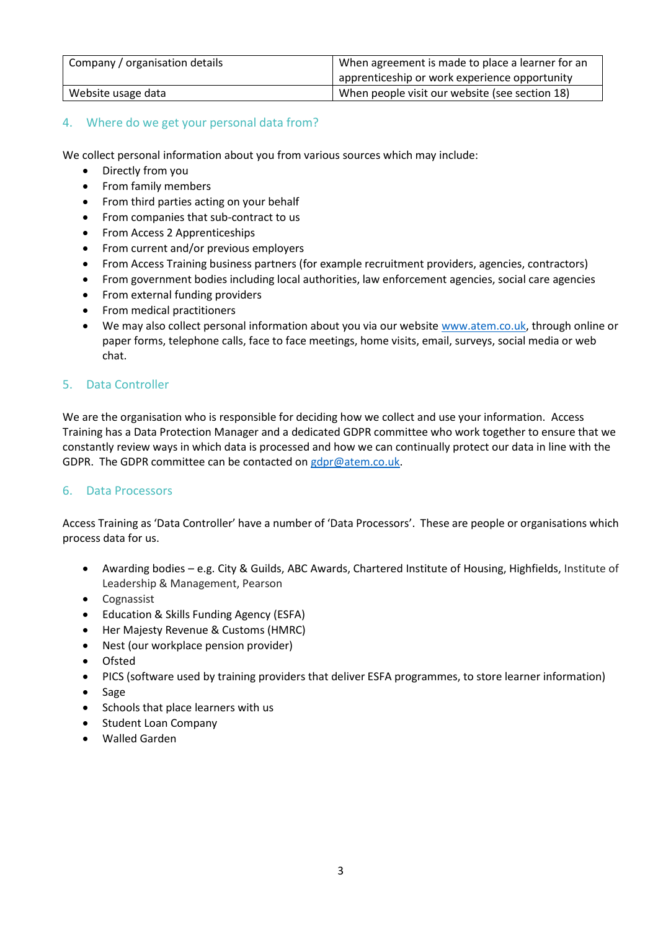| Company / organisation details | When agreement is made to place a learner for an<br>apprenticeship or work experience opportunity |
|--------------------------------|---------------------------------------------------------------------------------------------------|
| Website usage data             | When people visit our website (see section 18)                                                    |

## <span id="page-2-0"></span>4. Where do we get your personal data from?

We collect personal information about you from various sources which may include:

- Directly from you
- From family members
- From third parties acting on your behalf
- From companies that sub-contract to us
- From Access 2 Apprenticeships
- From current and/or previous employers
- From Access Training business partners (for example recruitment providers, agencies, contractors)
- From government bodies including local authorities, law enforcement agencies, social care agencies
- From external funding providers
- From medical practitioners
- We may also collect personal information about you via our website [www.atem.co.uk,](http://www.atem.co.uk/) through online or paper forms, telephone calls, face to face meetings, home visits, email, surveys, social media or web chat.

## <span id="page-2-1"></span>5. Data Controller

We are the organisation who is responsible for deciding how we collect and use your information. Access Training has a Data Protection Manager and a dedicated GDPR committee who work together to ensure that we constantly review ways in which data is processed and how we can continually protect our data in line with the GDPR. The GDPR committee can be contacted on [gdpr@atem.co.uk.](mailto:gdpr@atem.co.uk)

### <span id="page-2-2"></span>6. Data Processors

Access Training as 'Data Controller' have a number of 'Data Processors'. These are people or organisations which process data for us.

- Awarding bodies e.g. City & Guilds, ABC Awards, Chartered Institute of Housing, Highfields, Institute of Leadership & Management, Pearson
- Cognassist
- Education & Skills Funding Agency (ESFA)
- Her Majesty Revenue & Customs (HMRC)
- Nest (our workplace pension provider)
- Ofsted
- PICS (software used by training providers that deliver ESFA programmes, to store learner information)
- Sage
- Schools that place learners with us
- Student Loan Company
- Walled Garden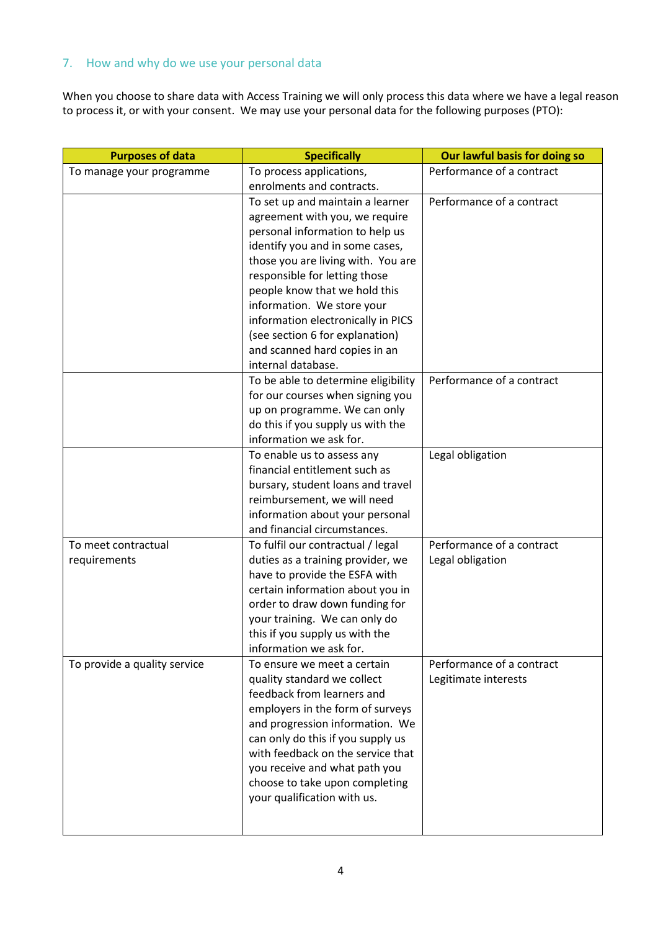## <span id="page-3-0"></span>7. How and why do we use your personal data

When you choose to share data with Access Training we will only process this data where we have a legal reason to process it, or with your consent. We may use your personal data for the following purposes (PTO):

| <b>Purposes of data</b>      | <b>Specifically</b>                                            | Our lawful basis for doing so |
|------------------------------|----------------------------------------------------------------|-------------------------------|
| To manage your programme     | To process applications,                                       | Performance of a contract     |
|                              | enrolments and contracts.                                      |                               |
|                              | To set up and maintain a learner                               | Performance of a contract     |
|                              | agreement with you, we require                                 |                               |
|                              | personal information to help us                                |                               |
|                              | identify you and in some cases,                                |                               |
|                              | those you are living with. You are                             |                               |
|                              | responsible for letting those                                  |                               |
|                              | people know that we hold this                                  |                               |
|                              | information. We store your                                     |                               |
|                              | information electronically in PICS                             |                               |
|                              | (see section 6 for explanation)                                |                               |
|                              | and scanned hard copies in an                                  |                               |
|                              | internal database.                                             |                               |
|                              | To be able to determine eligibility                            | Performance of a contract     |
|                              | for our courses when signing you                               |                               |
|                              | up on programme. We can only                                   |                               |
|                              | do this if you supply us with the                              |                               |
|                              | information we ask for.                                        |                               |
|                              | To enable us to assess any                                     | Legal obligation              |
|                              | financial entitlement such as                                  |                               |
|                              | bursary, student loans and travel                              |                               |
|                              | reimbursement, we will need<br>information about your personal |                               |
|                              | and financial circumstances.                                   |                               |
| To meet contractual          | To fulfil our contractual / legal                              | Performance of a contract     |
| requirements                 | duties as a training provider, we                              | Legal obligation              |
|                              | have to provide the ESFA with                                  |                               |
|                              | certain information about you in                               |                               |
|                              | order to draw down funding for                                 |                               |
|                              | your training. We can only do                                  |                               |
|                              | this if you supply us with the                                 |                               |
|                              | information we ask for.                                        |                               |
| To provide a quality service | To ensure we meet a certain                                    | Performance of a contract     |
|                              | quality standard we collect                                    | Legitimate interests          |
|                              | feedback from learners and                                     |                               |
|                              | employers in the form of surveys                               |                               |
|                              | and progression information. We                                |                               |
|                              | can only do this if you supply us                              |                               |
|                              | with feedback on the service that                              |                               |
|                              | you receive and what path you                                  |                               |
|                              | choose to take upon completing                                 |                               |
|                              | your qualification with us.                                    |                               |
|                              |                                                                |                               |
|                              |                                                                |                               |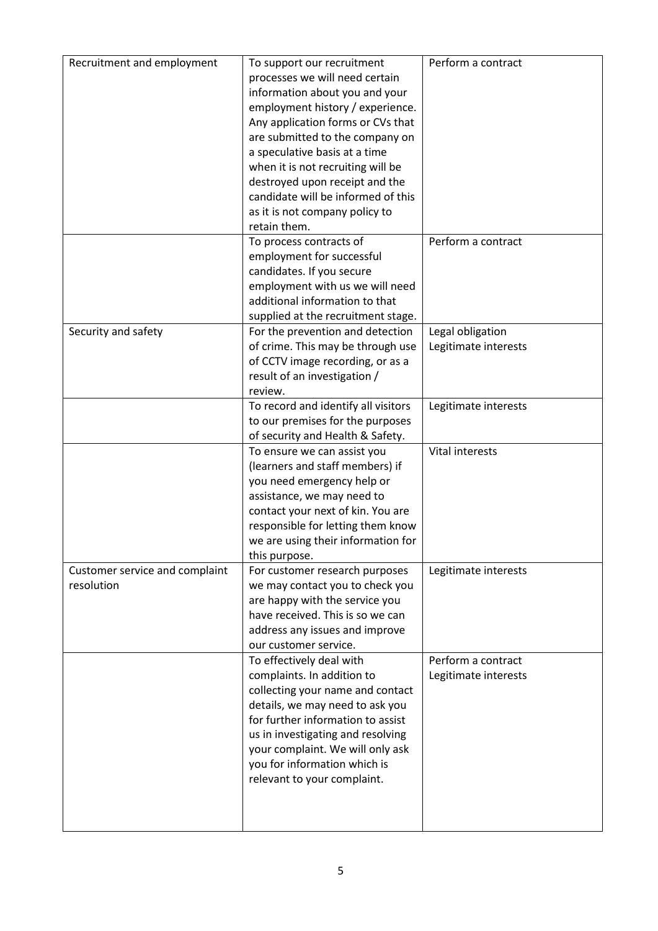| Recruitment and employment                   | To support our recruitment<br>processes we will need certain<br>information about you and your<br>employment history / experience.<br>Any application forms or CVs that<br>are submitted to the company on<br>a speculative basis at a time<br>when it is not recruiting will be<br>destroyed upon receipt and the<br>candidate will be informed of this<br>as it is not company policy to<br>retain them. | Perform a contract                         |
|----------------------------------------------|------------------------------------------------------------------------------------------------------------------------------------------------------------------------------------------------------------------------------------------------------------------------------------------------------------------------------------------------------------------------------------------------------------|--------------------------------------------|
|                                              | To process contracts of<br>employment for successful<br>candidates. If you secure<br>employment with us we will need<br>additional information to that<br>supplied at the recruitment stage.                                                                                                                                                                                                               | Perform a contract                         |
| Security and safety                          | For the prevention and detection<br>of crime. This may be through use<br>of CCTV image recording, or as a<br>result of an investigation /<br>review.                                                                                                                                                                                                                                                       | Legal obligation<br>Legitimate interests   |
|                                              | To record and identify all visitors<br>to our premises for the purposes<br>of security and Health & Safety.                                                                                                                                                                                                                                                                                                | Legitimate interests                       |
|                                              | To ensure we can assist you<br>(learners and staff members) if<br>you need emergency help or<br>assistance, we may need to<br>contact your next of kin. You are<br>responsible for letting them know<br>we are using their information for<br>this purpose.                                                                                                                                                | Vital interests                            |
| Customer service and complaint<br>resolution | For customer research purposes<br>we may contact you to check you<br>are happy with the service you<br>have received. This is so we can<br>address any issues and improve<br>our customer service.                                                                                                                                                                                                         | Legitimate interests                       |
|                                              | To effectively deal with<br>complaints. In addition to<br>collecting your name and contact<br>details, we may need to ask you<br>for further information to assist<br>us in investigating and resolving<br>your complaint. We will only ask<br>you for information which is<br>relevant to your complaint.                                                                                                 | Perform a contract<br>Legitimate interests |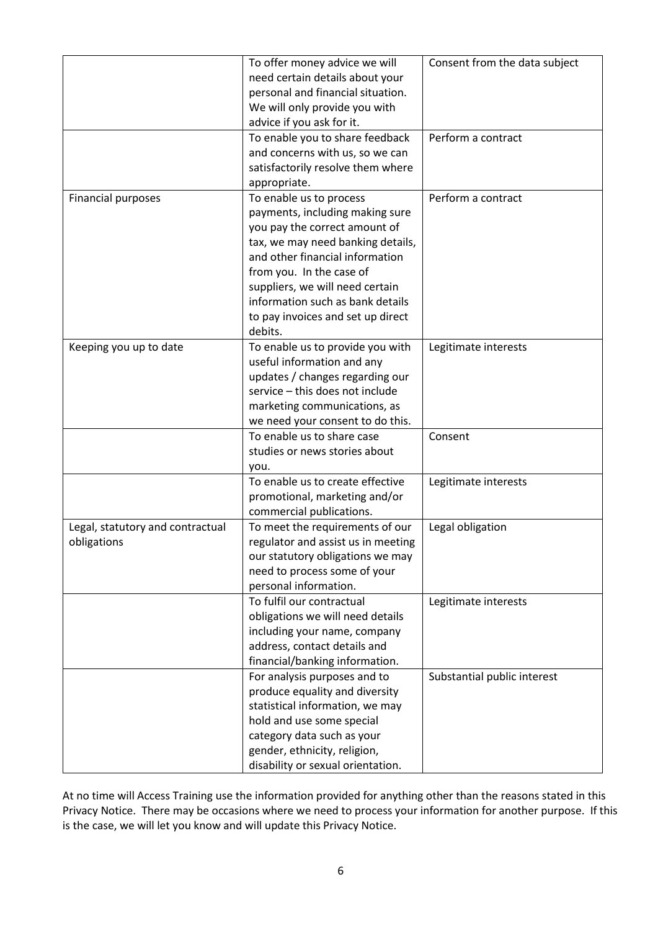|                                                 | To offer money advice we will<br>need certain details about your<br>personal and financial situation.<br>We will only provide you with<br>advice if you ask for it.                                                                                                                                                    | Consent from the data subject |
|-------------------------------------------------|------------------------------------------------------------------------------------------------------------------------------------------------------------------------------------------------------------------------------------------------------------------------------------------------------------------------|-------------------------------|
|                                                 | To enable you to share feedback<br>and concerns with us, so we can<br>satisfactorily resolve them where<br>appropriate.                                                                                                                                                                                                | Perform a contract            |
| <b>Financial purposes</b>                       | To enable us to process<br>payments, including making sure<br>you pay the correct amount of<br>tax, we may need banking details,<br>and other financial information<br>from you. In the case of<br>suppliers, we will need certain<br>information such as bank details<br>to pay invoices and set up direct<br>debits. | Perform a contract            |
| Keeping you up to date                          | To enable us to provide you with<br>useful information and any<br>updates / changes regarding our<br>service - this does not include<br>marketing communications, as<br>we need your consent to do this.                                                                                                               | Legitimate interests          |
|                                                 | To enable us to share case<br>studies or news stories about<br>you.                                                                                                                                                                                                                                                    | Consent                       |
|                                                 | To enable us to create effective<br>promotional, marketing and/or<br>commercial publications.                                                                                                                                                                                                                          | Legitimate interests          |
| Legal, statutory and contractual<br>obligations | To meet the requirements of our<br>regulator and assist us in meeting<br>our statutory obligations we may<br>need to process some of your<br>personal information.                                                                                                                                                     | Legal obligation              |
|                                                 | To fulfil our contractual<br>obligations we will need details<br>including your name, company<br>address, contact details and<br>financial/banking information.                                                                                                                                                        | Legitimate interests          |
|                                                 | For analysis purposes and to<br>produce equality and diversity<br>statistical information, we may<br>hold and use some special<br>category data such as your<br>gender, ethnicity, religion,<br>disability or sexual orientation.                                                                                      | Substantial public interest   |

At no time will Access Training use the information provided for anything other than the reasons stated in this Privacy Notice. There may be occasions where we need to process your information for another purpose. If this is the case, we will let you know and will update this Privacy Notice.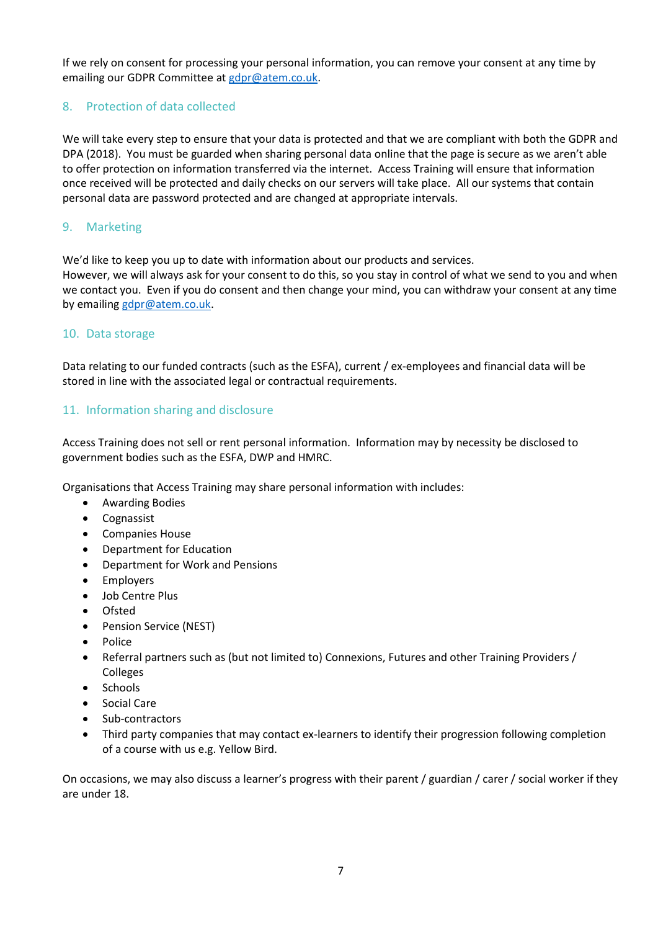If we rely on consent for processing your personal information, you can remove your consent at any time by emailing our GDPR Committee at [gdpr@atem.co.uk.](mailto:gdpr@atem.co.uk)

## <span id="page-6-0"></span>8. Protection of data collected

We will take every step to ensure that your data is protected and that we are compliant with both the GDPR and DPA (2018). You must be guarded when sharing personal data online that the page is secure as we aren't able to offer protection on information transferred via the internet. Access Training will ensure that information once received will be protected and daily checks on our servers will take place. All our systems that contain personal data are password protected and are changed at appropriate intervals.

## <span id="page-6-1"></span>9. Marketing

We'd like to keep you up to date with information about our products and services.

However, we will always ask for your consent to do this, so you stay in control of what we send to you and when we contact you. Even if you do consent and then change your mind, you can withdraw your consent at any time by emailin[g gdpr@atem.co.uk.](mailto:gdpr@atem.co.uk)

## <span id="page-6-2"></span>10. Data storage

Data relating to our funded contracts (such as the ESFA), current / ex-employees and financial data will be stored in line with the associated legal or contractual requirements.

## <span id="page-6-3"></span>11. Information sharing and disclosure

Access Training does not sell or rent personal information. Information may by necessity be disclosed to government bodies such as the ESFA, DWP and HMRC.

Organisations that Access Training may share personal information with includes:

- Awarding Bodies
- Cognassist
- Companies House
- Department for Education
- Department for Work and Pensions
- Employers
- Job Centre Plus
- Ofsted
- Pension Service (NEST)
- Police
- Referral partners such as (but not limited to) Connexions, Futures and other Training Providers / Colleges
- Schools
- Social Care
- Sub-contractors
- Third party companies that may contact ex-learners to identify their progression following completion of a course with us e.g. Yellow Bird.

On occasions, we may also discuss a learner's progress with their parent / guardian / carer / social worker if they are under 18.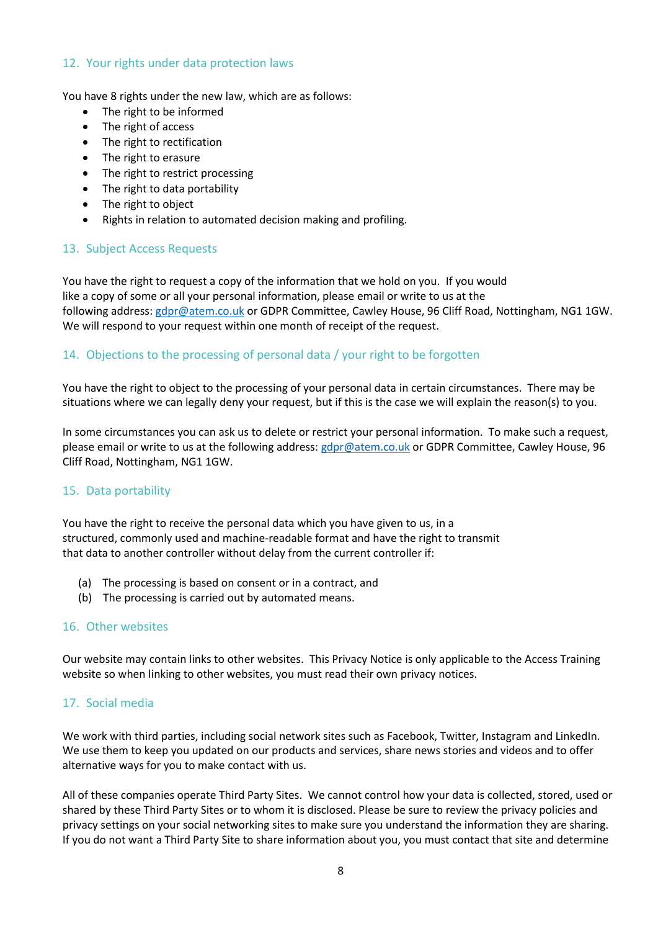#### <span id="page-7-0"></span>12. Your rights under data protection laws

You have 8 rights under the new law, which are as follows:

- The right to be informed
- The right of access
- The right to rectification
- The right to erasure
- The right to restrict processing
- The right to data portability
- The right to object
- Rights in relation to automated decision making and profiling.

### <span id="page-7-1"></span>13. Subject Access Requests

You have the right to request a copy of the information that we hold on you. If you would like a copy of some or all your personal information, please email or write to us at the following address[: gdpr@atem.co.uk](mailto:gdpr@atem.co.uk) or GDPR Committee, Cawley House, 96 Cliff Road, Nottingham, NG1 1GW. We will respond to your request within one month of receipt of the request.

### <span id="page-7-2"></span>14. Objections to the processing of personal data / your right to be forgotten

You have the right to object to the processing of your personal data in certain circumstances. There may be situations where we can legally deny your request, but if this is the case we will explain the reason(s) to you.

In some circumstances you can ask us to delete or restrict your personal information. To make such a request, please email or write to us at the following address[: gdpr@atem.co.uk](mailto:gdpr@atem.co.uk) or GDPR Committee, Cawley House, 96 Cliff Road, Nottingham, NG1 1GW.

### <span id="page-7-3"></span>15. Data portability

You have the right to receive the personal data which you have given to us, in a structured, commonly used and machine-readable format and have the right to transmit that data to another controller without delay from the current controller if:

- (a) The processing is based on consent or in a contract, and
- (b) The processing is carried out by automated means.

#### <span id="page-7-4"></span>16. Other websites

Our website may contain links to other websites. This Privacy Notice is only applicable to the Access Training website so when linking to other websites, you must read their own privacy notices.

### <span id="page-7-5"></span>17. Social media

We work with third parties, including social network sites such as Facebook, Twitter, Instagram and LinkedIn. We use them to keep you updated on our products and services, share news stories and videos and to offer alternative ways for you to make contact with us.

All of these companies operate Third Party Sites. We cannot control how your data is collected, stored, used or shared by these Third Party Sites or to whom it is disclosed. Please be sure to review the privacy policies and privacy settings on your social networking sites to make sure you understand the information they are sharing. If you do not want a Third Party Site to share information about you, you must contact that site and determine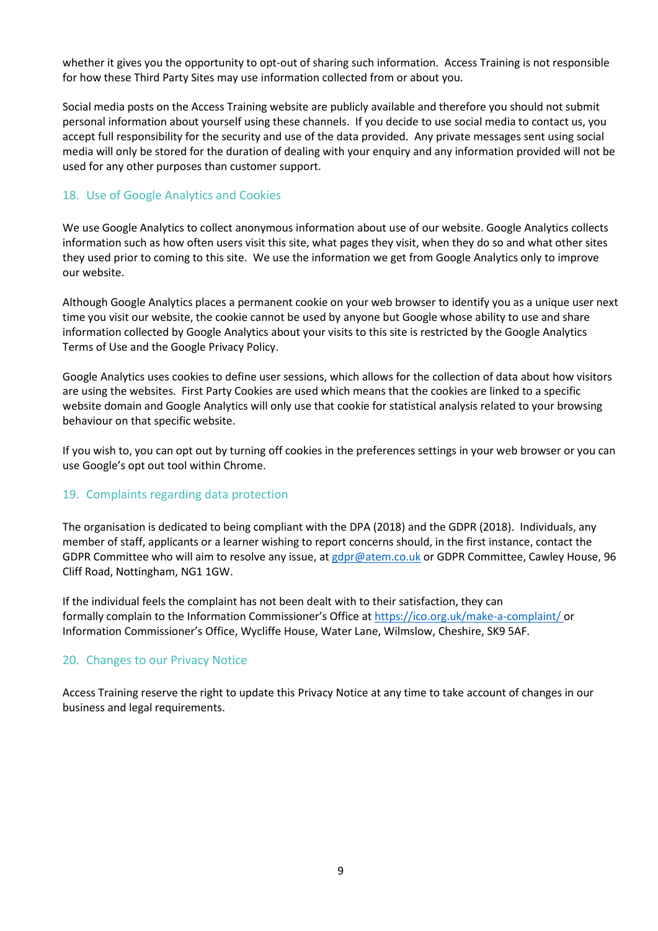whether it gives you the opportunity to opt-out of sharing such information. Access Training is not responsible for how these Third Party Sites may use information collected from or about you.

Social media posts on the Access Training website are publicly available and therefore you should not submit personal information about yourself using these channels. If you decide to use social media to contact us, you accept full responsibility for the security and use of the data provided. Any private messages sent using social media will only be stored for the duration of dealing with your enquiry and any information provided will not be used for any other purposes than customer support.

## <span id="page-8-0"></span>18. Use of Google Analytics and Cookies

We use Google Analytics to collect anonymous information about use of our website. Google Analytics collects information such as how often users visit this site, what pages they visit, when they do so and what other sites they used prior to coming to this site. We use the information we get from Google Analytics only to improve our website.

Although Google Analytics places a permanent cookie on your web browser to identify you as a unique user next time you visit our website, the cookie cannot be used by anyone but Google whose ability to use and share information collected by Google Analytics about your visits to this site is restricted by the Google Analytics Terms of Use and the Google Privacy Policy.

Google Analytics uses cookies to define user sessions, which allows for the collection of data about how visitors are using the websites. First Party Cookies are used which means that the cookies are linked to a specific website domain and Google Analytics will only use that cookie for statistical analysis related to your browsing behaviour on that specific website.

If you wish to, you can opt out by turning off cookies in the preferences settings in your web browser or you can use Google's opt out tool within Chrome.

### <span id="page-8-1"></span>19. Complaints regarding data protection

The organisation is dedicated to being compliant with the DPA (2018) and the GDPR (2018). Individuals, any member of staff, applicants or a learner wishing to report concerns should, in the first instance, contact the GDPR Committee who will aim to resolve any issue, at [gdpr@atem.co.uk](mailto:gdpr@atem.co.uk) or GDPR Committee, Cawley House, 96 Cliff Road, Nottingham, NG1 1GW.

If the individual feels the complaint has not been dealt with to their satisfaction, they can formally complain to the Information Commissioner's Office at https://ico.org.uk/make-a-complaint/ or Information Commissioner's Office, Wycliffe House, Water Lane, Wilmslow, Cheshire, SK9 5AF.

### <span id="page-8-2"></span>20. Changes to our Privacy Notice

Access Training reserve the right to update this Privacy Notice at any time to take account of changes in our business and legal requirements.